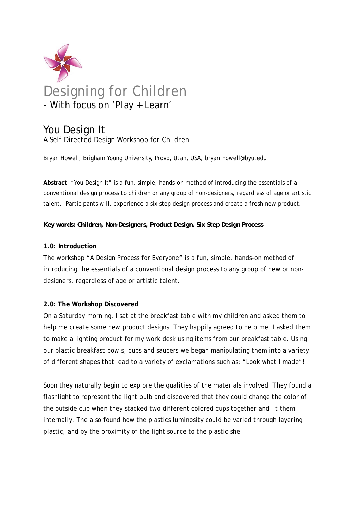

# You Design It A Self Directed Design Workshop for Children

Bryan Howell, Brigham Young University, Provo, Utah, USA, bryan.howell@byu.edu

**Abstract**: "You Design It" is a fun, simple, hands-on method of introducing the essentials of a conventional design process to children or any group of non-designers, regardless of age or artistic talent. Participants will, experience a six step design process and create a fresh new product.

#### *Key words: Children, Non-Designers, Product Design, Six Step Design Process*

#### **1.0: Introduction**

The workshop "A Design Process for Everyone" is a fun, simple, hands-on method of introducing the essentials of a conventional design process to any group of new or nondesigners, regardless of age or artistic talent.

# **2.0: The Workshop Discovered**

On a Saturday morning, I sat at the breakfast table with my children and asked them to help me create some new product designs. They happily agreed to help me. I asked them to make a lighting product for my work desk using items from our breakfast table. Using our plastic breakfast bowls, cups and saucers we began manipulating them into a variety of different shapes that lead to a variety of exclamations such as: "Look what I made"!

Soon they naturally begin to explore the qualities of the materials involved. They found a flashlight to represent the light bulb and discovered that they could change the color of the outside cup when they stacked two different colored cups together and lit them internally. The also found how the plastics luminosity could be varied through layering plastic, and by the proximity of the light source to the plastic shell.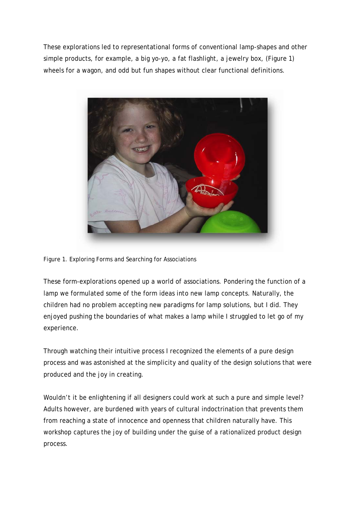These explorations led to representational forms of conventional lamp-shapes and other simple products, for example, a big yo-yo, a fat flashlight, a jewelry box, (Figure 1) wheels for a wagon, and odd but fun shapes without clear functional definitions.



Figure 1. Exploring Forms and Searching for Associations

These form-explorations opened up a world of associations. Pondering the function of a lamp we formulated some of the form ideas into new lamp concepts. Naturally, the children had no problem accepting new paradigms for lamp solutions, but I did. They enjoyed pushing the boundaries of what makes a lamp while I struggled to let go of my experience.

Through watching their intuitive process I recognized the elements of a pure design process and was astonished at the simplicity and quality of the design solutions that were produced and the joy in creating.

Wouldn't it be enlightening if all designers could work at such a pure and simple level? Adults however, are burdened with years of cultural indoctrination that prevents them from reaching a state of innocence and openness that children naturally have. This workshop captures the joy of building under the guise of a rationalized product design process.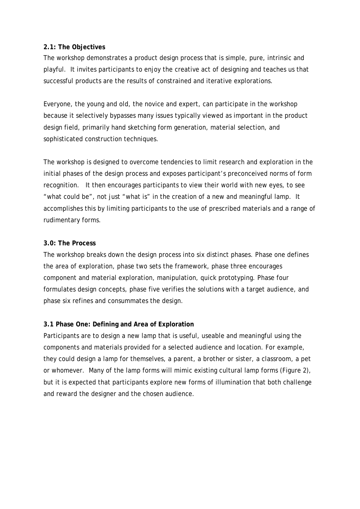#### **2.1: The Objectives**

The workshop demonstrates a product design process that is simple, pure, intrinsic and playful. It invites participants to enjoy the creative act of designing and teaches us that successful products are the results of constrained and iterative explorations.

Everyone, the young and old, the novice and expert, can participate in the workshop because it selectively bypasses many issues typically viewed as important in the product design field, primarily hand sketching form generation, material selection, and sophisticated construction techniques.

The workshop is designed to overcome tendencies to limit research and exploration in the initial phases of the design process and exposes participant's preconceived norms of form recognition. It then encourages participants to view their world with new eyes, to see "what could be", not just "what is" in the creation of a new and meaningful lamp. It accomplishes this by limiting participants to the use of prescribed materials and a range of rudimentary forms.

#### **3.0: The Process**

The workshop breaks down the design process into six distinct phases. Phase one defines the area of exploration, phase two sets the framework, phase three encourages component and material exploration, manipulation, quick prototyping. Phase four formulates design concepts, phase five verifies the solutions with a target audience, and phase six refines and consummates the design.

# **3.1 Phase One: Defining and Area of Exploration**

Participants are to design a new lamp that is useful, useable and meaningful using the components and materials provided for a selected audience and location. For example, they could design a lamp for themselves, a parent, a brother or sister, a classroom, a pet or whomever. Many of the lamp forms will mimic existing cultural lamp forms (Figure 2), but it is expected that participants explore new forms of illumination that both challenge and reward the designer and the chosen audience.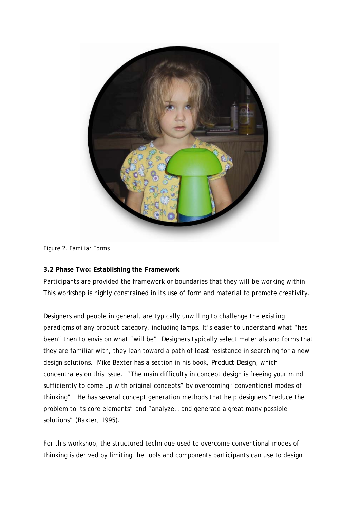

Figure 2. Familiar Forms

# **3.2 Phase Two: Establishing the Framework**

Participants are provided the framework or boundaries that they will be working within. This workshop is highly constrained in its use of form and material to promote creativity.

Designers and people in general, are typically unwilling to challenge the existing paradigms of any product category, including lamps. It's easier to understand what "has been" then to envision what "will be". Designers typically select materials and forms that they are familiar with, they lean toward a path of least resistance in searching for a new design solutions. Mike Baxter has a section in his book, *Product Design,* which concentrates on this issue. "The main difficulty in concept design is freeing your mind sufficiently to come up with original concepts" by overcoming "conventional modes of thinking". He has several concept generation methods that help designers "reduce the problem to its core elements" and "analyze… and generate a great many possible solutions" (Baxter, 1995).

For this workshop, the structured technique used to overcome conventional modes of thinking is derived by limiting the tools and components participants can use to design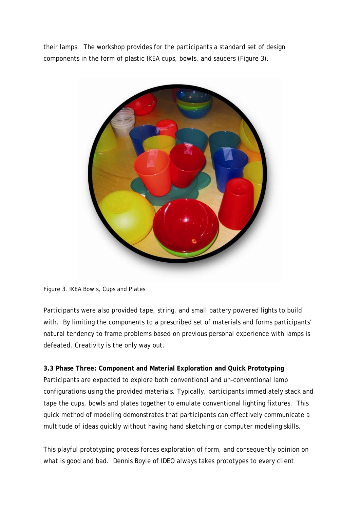their lamps. The workshop provides for the participants a standard set of design components in the form of plastic IKEA cups, bowls, and saucers (Figure 3).



Figure 3. IKEA Bowls, Cups and Plates

Participants were also provided tape, string, and small battery powered lights to build with. By limiting the components to a prescribed set of materials and forms participants' natural tendency to frame problems based on previous personal experience with lamps is defeated. Creativity is the only way out.

# **3.3 Phase Three: Component and Material Exploration and Quick Prototyping**

Participants are expected to explore both conventional and un-conventional lamp configurations using the provided materials. Typically, participants immediately stack and tape the cups, bowls and plates together to emulate conventional lighting fixtures. This quick method of modeling demonstrates that participants can effectively communicate a multitude of ideas quickly without having hand sketching or computer modeling skills.

This playful prototyping process forces exploration of form, and consequently opinion on what is good and bad. Dennis Boyle of IDEO always takes prototypes to every client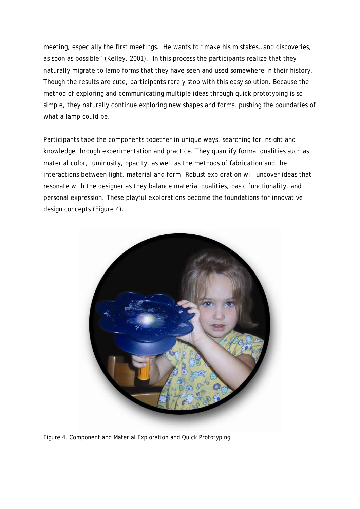meeting, especially the first meetings. He wants to "make his mistakes…and discoveries, as soon as possible" (Kelley, 2001). In this process the participants realize that they naturally migrate to lamp forms that they have seen and used somewhere in their history. Though the results are cute, participants rarely stop with this easy solution. Because the method of exploring and communicating multiple ideas through quick prototyping is so simple, they naturally continue exploring new shapes and forms, pushing the boundaries of what a lamp could be.

Participants tape the components together in unique ways, searching for insight and knowledge through experimentation and practice. They quantify formal qualities such as material color, luminosity, opacity, as well as the methods of fabrication and the interactions between light, material and form. Robust exploration will uncover ideas that resonate with the designer as they balance material qualities, basic functionality, and personal expression. These playful explorations become the foundations for innovative design concepts (Figure 4).



Figure 4. Component and Material Exploration and Quick Prototyping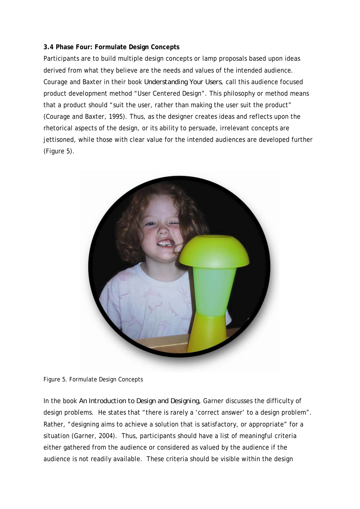# **3.4 Phase Four: Formulate Design Concepts**

Participants are to build multiple design concepts or lamp proposals based upon ideas derived from what they believe are the needs and values of the intended audience. Courage and Baxter in their book *Understanding Your Users*, call this audience focused product development method "User Centered Design". This philosophy or method means that a product should "suit the user, rather than making the user suit the product" (Courage and Baxter, 1995). Thus, as the designer creates ideas and reflects upon the rhetorical aspects of the design, or its ability to persuade, irrelevant concepts are jettisoned, while those with clear value for the intended audiences are developed further (Figure 5).



Figure 5. Formulate Design Concepts

In the book *An Introduction to Design and Designing,* Garner discusses the difficulty of design problems. He states that "there is rarely a 'correct answer' to a design problem". Rather, "designing aims to achieve a solution that is satisfactory, or appropriate" for a situation (Garner, 2004). Thus, participants should have a list of meaningful criteria either gathered from the audience or considered as valued by the audience if the audience is not readily available. These criteria should be visible within the design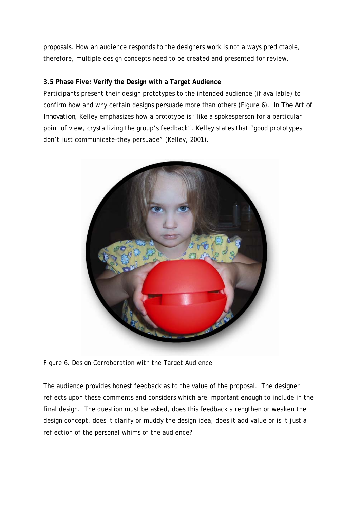proposals. How an audience responds to the designers work is not always predictable, therefore, multiple design concepts need to be created and presented for review.

# **3.5 Phase Five: Verify the Design with a Target Audience**

Participants present their design prototypes to the intended audience (if available) to confirm how and why certain designs persuade more than others (Figure 6). In *The Art of Innovation*, Kelley emphasizes how a prototype is "like a spokesperson for a particular point of view, crystallizing the group's feedback". Kelley states that "good prototypes don't just communicate-they persuade" (Kelley, 2001).



Figure 6. Design Corroboration with the Target Audience

The audience provides honest feedback as to the value of the proposal. The designer reflects upon these comments and considers which are important enough to include in the final design. The question must be asked, does this feedback strengthen or weaken the design concept, does it clarify or muddy the design idea, does it add value or is it just a reflection of the personal whims of the audience?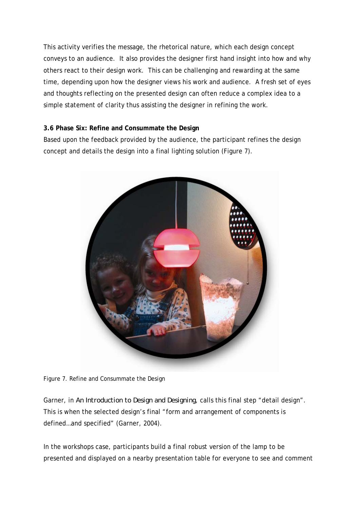This activity verifies the message, the rhetorical nature, which each design concept conveys to an audience. It also provides the designer first hand insight into how and why others react to their design work. This can be challenging and rewarding at the same time, depending upon how the designer views his work and audience. A fresh set of eyes and thoughts reflecting on the presented design can often reduce a complex idea to a simple statement of clarity thus assisting the designer in refining the work.

# **3.6 Phase Six: Refine and Consummate the Design**

Based upon the feedback provided by the audience, the participant refines the design concept and details the design into a final lighting solution (Figure 7).



Figure 7. Refine and Consummate the Design

Garner, in *An Introduction to Design and Designing*, calls this final step "detail design". This is when the selected design's final "form and arrangement of components is defined…and specified" (Garner, 2004).

In the workshops case, participants build a final robust version of the lamp to be presented and displayed on a nearby presentation table for everyone to see and comment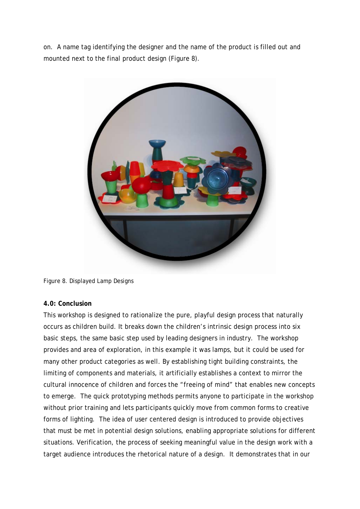on. A name tag identifying the designer and the name of the product is filled out and mounted next to the final product design (Figure 8).



Figure 8. Displayed Lamp Designs

#### **4.0: Conclusion**

This workshop is designed to rationalize the pure, playful design process that naturally occurs as children build. It breaks down the children's intrinsic design process into six basic steps, the same basic step used by leading designers in industry. The workshop provides and area of exploration, in this example it was lamps, but it could be used for many other product categories as well. By establishing tight building constraints, the limiting of components and materials, it artificially establishes a context to mirror the cultural innocence of children and forces the "freeing of mind" that enables new concepts to emerge. The quick prototyping methods permits anyone to participate in the workshop without prior training and lets participants quickly move from common forms to creative forms of lighting. The idea of user centered design is introduced to provide objectives that must be met in potential design solutions, enabling appropriate solutions for different situations. Verification, the process of seeking meaningful value in the design work with a target audience introduces the rhetorical nature of a design. It demonstrates that in our